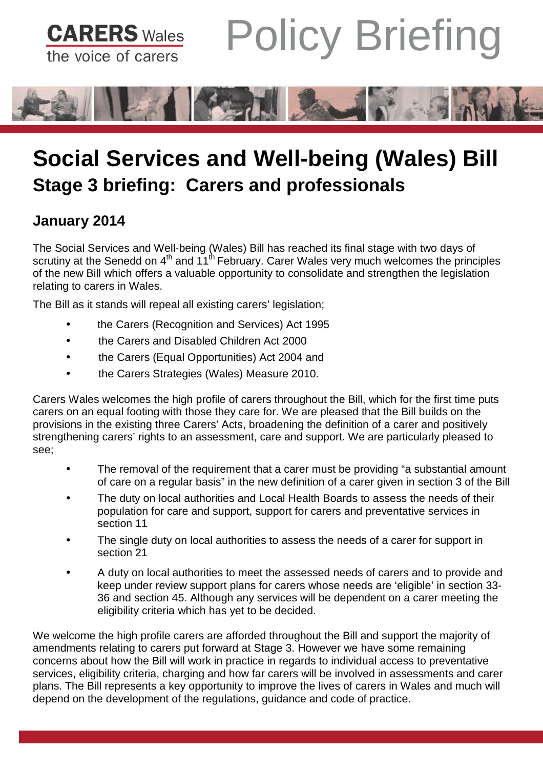



## **Social Services and Well-being (Wales) Bill Stage 3 briefing: Carers and professionals**

## **January 2014**

The Social Services and Well-being (Wales) Bill has reached its final stage with two days of scrutiny at the Senedd on  $4<sup>th</sup>$  and  $11<sup>th</sup>$  February. Carer Wales very much welcomes the principles of the new Bill which offers a valuable opportunity to consolidate and strengthen the legislation relating to carers in Wales.

The Bill as it stands will repeal all existing carers' legislation;

- the Carers (Recognition and Services) Act 1995
- the Carers and Disabled Children Act 2000
- the Carers (Equal Opportunities) Act 2004 and
- the Carers Strategies (Wales) Measure 2010.

Carers Wales welcomes the high profile of carers throughout the Bill, which for the first time puts carers on an equal footing with those they care for. We are pleased that the Bill builds on the provisions in the existing three Carers' Acts, broadening the definition of a carer and positively strengthening carers' rights to an assessment, care and support. We are particularly pleased to see;

- The removal of the requirement that a carer must be providing "a substantial amount of care on a regular basis" in the new definition of a carer given in section 3 of the Bill
- The duty on local authorities and Local Health Boards to assess the needs of their population for care and support, support for carers and preventative services in section 11
- The single duty on local authorities to assess the needs of a carer for support in section 21
- A duty on local authorities to meet the assessed needs of carers and to provide and keep under review support plans for carers whose needs are 'eligible' in section 33- 36 and section 45. Although any services will be dependent on a carer meeting the eligibility criteria which has yet to be decided.

We welcome the high profile carers are afforded throughout the Bill and support the majority of amendments relating to carers put forward at Stage 3. However we have some remaining concerns about how the Bill will work in practice in regards to individual access to preventative services, eligibility criteria, charging and how far carers will be involved in assessments and carer plans. The Bill represents a key opportunity to improve the lives of carers in Wales and much will depend on the development of the regulations, guidance and code of practice.